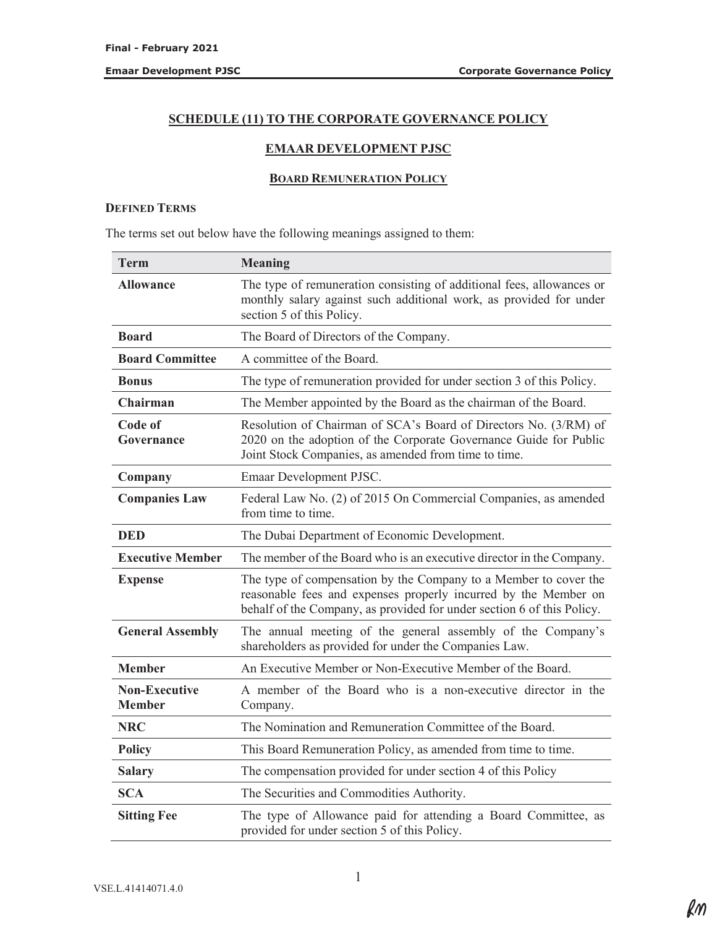# **SCHEDULE (11) TO THE CORPORATE GOVERNANCE POLICY**

## **EMAAR DEVELOPMENT PJSC**

### **BOARD REMUNERATION POLICY**

### **DEFINED TERMS**

The terms set out below have the following meanings assigned to them:

| Term                                  | <b>Meaning</b>                                                                                                                                                                                                |  |
|---------------------------------------|---------------------------------------------------------------------------------------------------------------------------------------------------------------------------------------------------------------|--|
| <b>Allowance</b>                      | The type of remuneration consisting of additional fees, allowances or<br>monthly salary against such additional work, as provided for under<br>section 5 of this Policy.                                      |  |
| <b>Board</b>                          | The Board of Directors of the Company.                                                                                                                                                                        |  |
| <b>Board Committee</b>                | A committee of the Board.                                                                                                                                                                                     |  |
| <b>Bonus</b>                          | The type of remuneration provided for under section 3 of this Policy.                                                                                                                                         |  |
| Chairman                              | The Member appointed by the Board as the chairman of the Board.                                                                                                                                               |  |
| Code of<br>Governance                 | Resolution of Chairman of SCA's Board of Directors No. (3/RM) of<br>2020 on the adoption of the Corporate Governance Guide for Public<br>Joint Stock Companies, as amended from time to time.                 |  |
| Company                               | Emaar Development PJSC.                                                                                                                                                                                       |  |
| <b>Companies Law</b>                  | Federal Law No. (2) of 2015 On Commercial Companies, as amended<br>from time to time.                                                                                                                         |  |
| <b>DED</b>                            | The Dubai Department of Economic Development.                                                                                                                                                                 |  |
| <b>Executive Member</b>               | The member of the Board who is an executive director in the Company.                                                                                                                                          |  |
| <b>Expense</b>                        | The type of compensation by the Company to a Member to cover the<br>reasonable fees and expenses properly incurred by the Member on<br>behalf of the Company, as provided for under section 6 of this Policy. |  |
| <b>General Assembly</b>               | The annual meeting of the general assembly of the Company's<br>shareholders as provided for under the Companies Law.                                                                                          |  |
| <b>Member</b>                         | An Executive Member or Non-Executive Member of the Board.                                                                                                                                                     |  |
| <b>Non-Executive</b><br><b>Member</b> | A member of the Board who is a non-executive director in the<br>Company.                                                                                                                                      |  |
| <b>NRC</b>                            | The Nomination and Remuneration Committee of the Board.                                                                                                                                                       |  |
| <b>Policy</b>                         | This Board Remuneration Policy, as amended from time to time.                                                                                                                                                 |  |
| <b>Salary</b>                         | The compensation provided for under section 4 of this Policy                                                                                                                                                  |  |
| <b>SCA</b>                            | The Securities and Commodities Authority.                                                                                                                                                                     |  |
| <b>Sitting Fee</b>                    | The type of Allowance paid for attending a Board Committee, as<br>provided for under section 5 of this Policy.                                                                                                |  |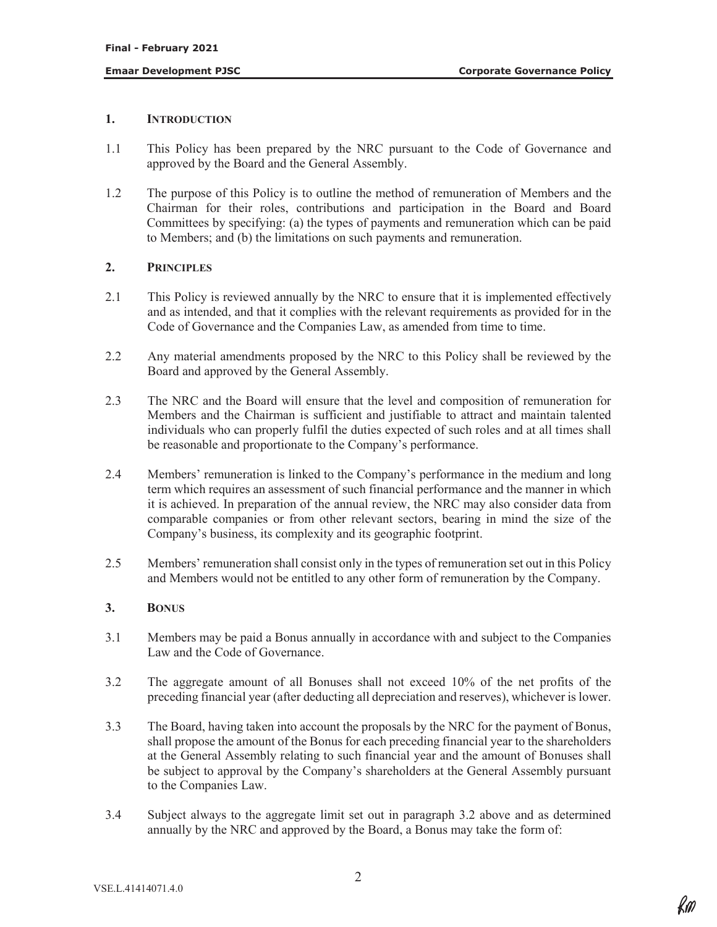## **1. INTRODUCTION**

- 1.1 This Policy has been prepared by the NRC pursuant to the Code of Governance and approved by the Board and the General Assembly.
- 1.2 The purpose of this Policy is to outline the method of remuneration of Members and the Chairman for their roles, contributions and participation in the Board and Board Committees by specifying: (a) the types of payments and remuneration which can be paid to Members; and (b) the limitations on such payments and remuneration.

## **2. PRINCIPLES**

- 2.1 This Policy is reviewed annually by the NRC to ensure that it is implemented effectively and as intended, and that it complies with the relevant requirements as provided for in the Code of Governance and the Companies Law, as amended from time to time.
- 2.2 Any material amendments proposed by the NRC to this Policy shall be reviewed by the Board and approved by the General Assembly.
- 2.3 The NRC and the Board will ensure that the level and composition of remuneration for Members and the Chairman is sufficient and justifiable to attract and maintain talented individuals who can properly fulfil the duties expected of such roles and at all times shall be reasonable and proportionate to the Company's performance.
- 2.4 Members' remuneration is linked to the Company's performance in the medium and long term which requires an assessment of such financial performance and the manner in which it is achieved. In preparation of the annual review, the NRC may also consider data from comparable companies or from other relevant sectors, bearing in mind the size of the Company's business, its complexity and its geographic footprint.
- 2.5 Members' remuneration shall consist only in the types of remuneration set out in this Policy and Members would not be entitled to any other form of remuneration by the Company.

## **3. BONUS**

- 3.1 Members may be paid a Bonus annually in accordance with and subject to the Companies Law and the Code of Governance.
- 3.2 The aggregate amount of all Bonuses shall not exceed 10% of the net profits of the preceding financial year (after deducting all depreciation and reserves), whichever is lower.
- 3.3 The Board, having taken into account the proposals by the NRC for the payment of Bonus, shall propose the amount of the Bonus for each preceding financial year to the shareholders at the General Assembly relating to such financial year and the amount of Bonuses shall be subject to approval by the Company's shareholders at the General Assembly pursuant to the Companies Law.
- 3.4 Subject always to the aggregate limit set out in paragraph 3.2 above and as determined annually by the NRC and approved by the Board, a Bonus may take the form of: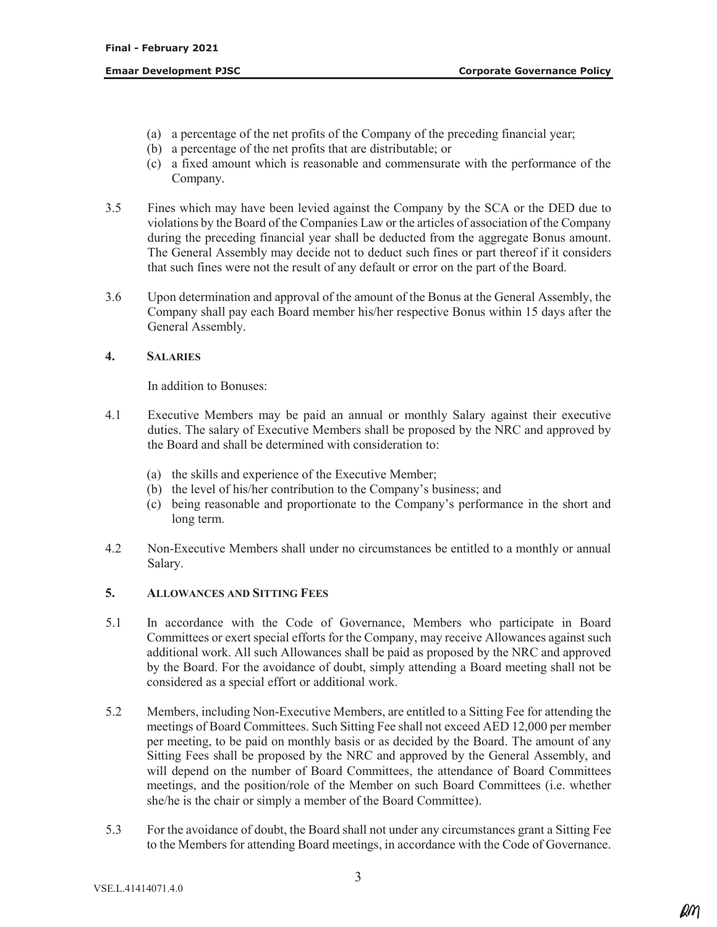- (a) a percentage of the net profits of the Company of the preceding financial year;
- (b) a percentage of the net profits that are distributable; or
- (c) a fixed amount which is reasonable and commensurate with the performance of the Company.
- 3.5 Fines which may have been levied against the Company by the SCA or the DED due to violations by the Board of the Companies Law or the articles of association of the Company during the preceding financial year shall be deducted from the aggregate Bonus amount. The General Assembly may decide not to deduct such fines or part thereof if it considers that such fines were not the result of any default or error on the part of the Board.
- 3.6 Upon determination and approval of the amount of the Bonus at the General Assembly, the Company shall pay each Board member his/her respective Bonus within 15 days after the General Assembly.

### **4. SALARIES**

In addition to Bonuses:

- 4.1 Executive Members may be paid an annual or monthly Salary against their executive duties. The salary of Executive Members shall be proposed by the NRC and approved by the Board and shall be determined with consideration to:
	- (a) the skills and experience of the Executive Member;
	- (b) the level of his/her contribution to the Company's business; and
	- (c) being reasonable and proportionate to the Company's performance in the short and long term.
- 4.2 Non-Executive Members shall under no circumstances be entitled to a monthly or annual Salary.

# **5. ALLOWANCES AND SITTING FEES**

- 5.1 In accordance with the Code of Governance, Members who participate in Board Committees or exert special efforts for the Company, may receive Allowances against such additional work. All such Allowances shall be paid as proposed by the NRC and approved by the Board. For the avoidance of doubt, simply attending a Board meeting shall not be considered as a special effort or additional work.
- 5.2 Members, including Non-Executive Members, are entitled to a Sitting Fee for attending the meetings of Board Committees. Such Sitting Fee shall not exceed AED 12,000 per member per meeting, to be paid on monthly basis or as decided by the Board. The amount of any Sitting Fees shall be proposed by the NRC and approved by the General Assembly, and will depend on the number of Board Committees, the attendance of Board Committees meetings, and the position/role of the Member on such Board Committees (i.e. whether she/he is the chair or simply a member of the Board Committee).
- 5.3 For the avoidance of doubt, the Board shall not under any circumstances grant a Sitting Fee to the Members for attending Board meetings, in accordance with the Code of Governance.